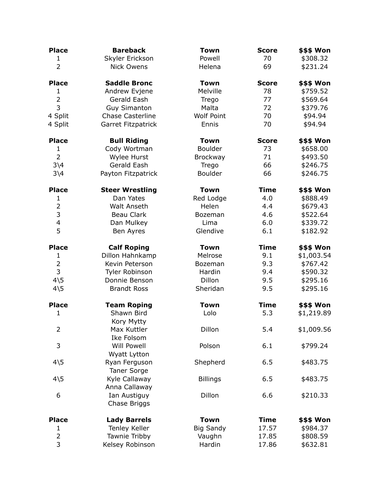| <b>Place</b>                 | <b>Bareback</b>           | <b>Town</b>       | <b>Score</b> | \$\$\$ Won |
|------------------------------|---------------------------|-------------------|--------------|------------|
| $\mathbf{1}$                 | Skyler Erickson           | Powell            | 70           | \$308.32   |
| $\overline{2}$               | <b>Nick Owens</b>         | Helena            | 69           | \$231.24   |
| <b>Place</b>                 | <b>Saddle Bronc</b>       | <b>Town</b>       | <b>Score</b> | \$\$\$ Won |
| $\mathbf{1}$                 | Andrew Evjene             | Melville          | 78           | \$759.52   |
| $\overline{2}$               | Gerald Eash               | Trego             | 77           | \$569.64   |
| 3                            | <b>Guy Simanton</b>       | Malta             | 72           | \$379.76   |
| 4 Split                      | <b>Chase Casterline</b>   | <b>Wolf Point</b> | 70           | \$94.94    |
| 4 Split                      | Garret Fitzpatrick        | Ennis             | 70           | \$94.94    |
| <b>Place</b>                 | <b>Bull Riding</b>        | <b>Town</b>       | <b>Score</b> | \$\$\$ Won |
| 1                            | Cody Wortman              | <b>Boulder</b>    | 73           | \$658.00   |
| $\overline{2}$               | Wylee Hurst               | Brockway          | 71           | \$493.50   |
| $3\sqrt{4}$                  | Gerald Eash               | Trego             | 66           | \$246.75   |
| $3\backslash4$               | Payton Fitzpatrick        | Boulder           | 66           | \$246.75   |
| <b>Place</b>                 | <b>Steer Wrestling</b>    | <b>Town</b>       | <b>Time</b>  | \$\$\$ Won |
| $\mathbf{1}$                 | Dan Yates                 | Red Lodge         | 4.0          | \$888.49   |
| $\overline{2}$               | Walt Anseth               | Helen             | 4.4          | \$679.43   |
| 3                            | Beau Clark                | Bozeman           | 4.6          | \$522.64   |
| 4                            | Dan Mulkey                | Lima              | 6.0          | \$339.72   |
| 5                            | Ben Ayres                 | Glendive          | 6.1          | \$182.92   |
| <b>Place</b>                 | <b>Calf Roping</b>        | <b>Town</b>       | <b>Time</b>  | \$\$\$ Won |
| $\mathbf{1}$                 | Dillon Hahnkamp           | Melrose           | 9.1          | \$1,003.54 |
| $\overline{2}$               | Kevin Peterson            | Bozeman           | 9.3          | \$767.42   |
| 3                            | Tyler Robinson            | Hardin            | 9.4          | \$590.32   |
| $4\overline{5}$              | Donnie Benson             | Dillon            | 9.5          | \$295.16   |
| $4\overline{\smash{\big)}5}$ | <b>Brandt Ross</b>        | Sheridan          | 9.5          | \$295.16   |
| <b>Place</b>                 | <b>Team Roping</b>        | <b>Town</b>       | <b>Time</b>  | \$\$\$ Won |
| $\mathbf{1}$                 | Shawn Bird                | Lolo              | 5.3          | \$1,219.89 |
| 2                            | Kory Mytty<br>Max Kuttler | Dillon            | 5.4          | \$1,009.56 |
|                              | Ike Folsom                |                   |              |            |
| 3                            | <b>Will Powell</b>        | Polson            | 6.1          | \$799.24   |
|                              | Wyatt Lytton              |                   |              |            |
| $4\overline{5}$              | Ryan Ferguson             | Shepherd          | 6.5          | \$483.75   |
|                              | <b>Taner Sorge</b>        |                   |              |            |
| $4\overline{5}$              | Kyle Callaway             | <b>Billings</b>   | 6.5          | \$483.75   |
|                              | Anna Callaway             |                   |              |            |
| 6                            | Ian Austiguy              | Dillon            | 6.6          | \$210.33   |
|                              | Chase Briggs              |                   |              |            |
| <b>Place</b>                 | <b>Lady Barrels</b>       | <b>Town</b>       | <b>Time</b>  | \$\$\$ Won |
| $\mathbf{1}$                 | Tenley Keller             | <b>Big Sandy</b>  | 17.57        | \$984.37   |
| $\overline{2}$               | Tawnie Tribby             | Vaughn            | 17.85        | \$808.59   |
| 3                            | Kelsey Robinson           | Hardin            | 17.86        | \$632.81   |
|                              |                           |                   |              |            |